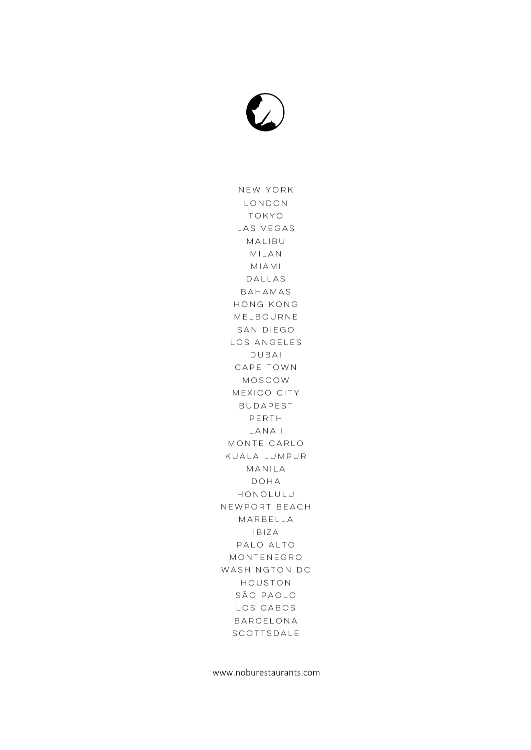

New York London Tokyo Las Vegas Malibu Milan Miami Dallas Bahamas Hong Kong Melbourne San Diego Los Angeles Dubai Cape Town Moscow Mexico City Budapest Perth Lana'i Monte Carlo Kuala Lumpur Manila Doha Honolulu Newport Beach Marbella Ibiza Palo Alto Montenegro Washington DC Houston São Paolo Los Cabos Barcelona SCOTTSDALE

www.noburestaurants.com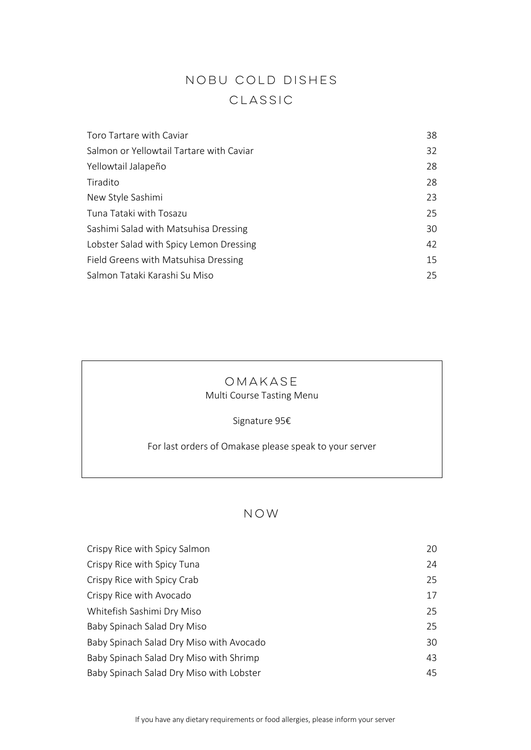# NOBU COLD DISHES CLASSIC

| Toro Tartare with Caviar                 | 38 |
|------------------------------------------|----|
| Salmon or Yellowtail Tartare with Caviar | 32 |
| Yellowtail Jalapeño                      | 28 |
| Tiradito                                 | 28 |
| New Style Sashimi                        | 23 |
| Tuna Tataki with Tosazu                  | 25 |
| Sashimi Salad with Matsuhisa Dressing    | 30 |
| Lobster Salad with Spicy Lemon Dressing  | 42 |
| Field Greens with Matsuhisa Dressing     | 15 |
| Salmon Tataki Karashi Su Miso            | 25 |
|                                          |    |

### OMAKASE **Multi Course Tasting Menu**

Grappa Chardonnay Marcati 18

Signature 95€ Miso Cappuccino 15 Victoria Nº2 14

For last orders of Omakase please speak to your server

#### NOW  $N \cup V$

| Crispy Rice with Spicy Salmon            | ZU         |
|------------------------------------------|------------|
| Crispy Rice with Spicy Tuna              | 24         |
| Crispy Rice with Spicy Crab              | 25         |
| Crispy Rice with Avocado                 | <u>، ۲</u> |
| Whitefish Sashimi Dry Miso               | 25         |
| Baby Spinach Salad Dry Miso              | 25         |
| Baby Spinach Salad Dry Miso with Avocado | 30         |
| Baby Spinach Salad Dry Miso with Shrimp  | 43         |
| Baby Spinach Salad Dry Miso with Lobster | 45         |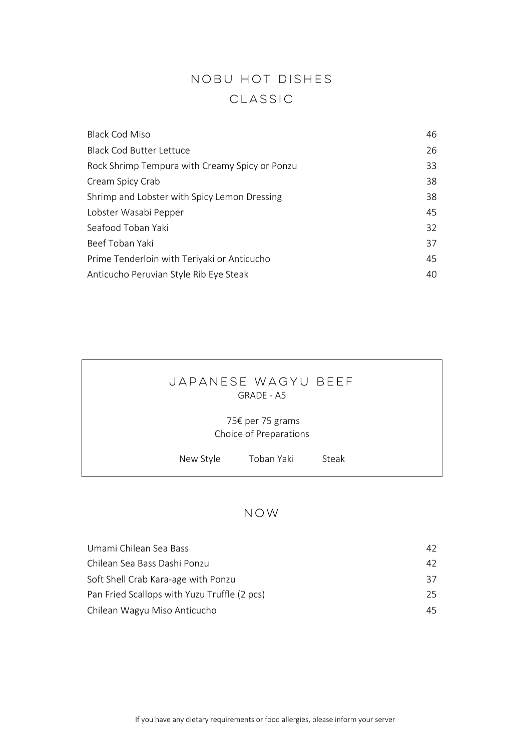# NOBU HOT DISHES CLASSIC

| <b>Black Cod Miso</b>                          | 46 |
|------------------------------------------------|----|
| <b>Black Cod Butter Lettuce</b>                | 26 |
| Rock Shrimp Tempura with Creamy Spicy or Ponzu | 33 |
| Cream Spicy Crab                               | 38 |
| Shrimp and Lobster with Spicy Lemon Dressing   | 38 |
| Lobster Wasabi Pepper                          | 45 |
| Seafood Toban Yaki                             | 32 |
| Beef Toban Yaki                                | 37 |
| Prime Tenderloin with Teriyaki or Anticucho    | 45 |
| Anticucho Peruvian Style Rib Eye Steak         | 40 |
|                                                |    |

#### Japanese wagyu beef GRADE - A5 Passion Fruit Sauce Dessential CRADE - AS

#### 75€ per 75 grams Choice of Preparations Miso Cappuccino 15 Victoria 15 Victoria 15 Victoria 15 Victoria November 15 Victoria November 15 Victoria November 14<br>1990 - Paul Cappuccino November 15 Victoria 15 Victoria 15 Victoria 15 Victoria 15 Victoria 15 Victoria

 $\frac{1}{2}$ 

|  | New Style | Toban Yaki | Steak |  |  |
|--|-----------|------------|-------|--|--|

#### NOW  $N \cup V$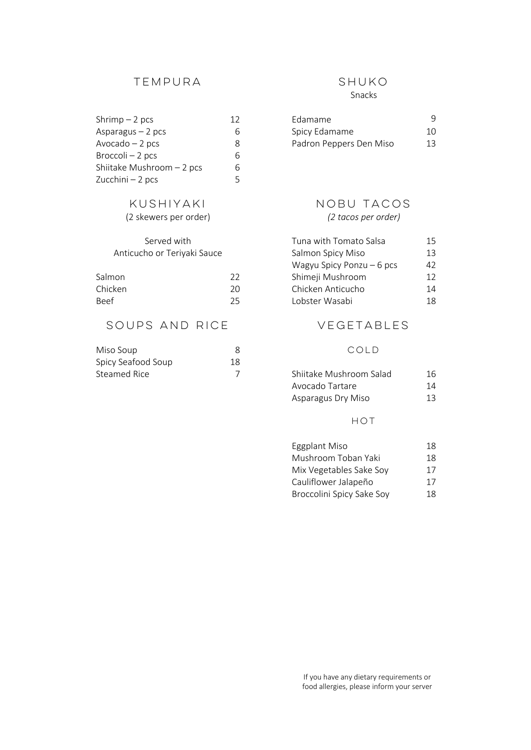#### TEMPURA SHUKO

| $Shrimp-2$ pcs            | 12 | Edamame                 |     |
|---------------------------|----|-------------------------|-----|
| Asparagus $-2$ pcs        |    | Spicy Edamame           | 10. |
| $Avocado - 2 pcs$         |    | Padron Peppers Den Miso | 13. |
| Broccoli – 2 pcs          |    |                         |     |
| Shiitake Mushroom - 2 pcs |    |                         |     |
| Zucchini $-2$ pcs         |    |                         |     |
|                           |    |                         |     |

# Served with

| Salmon      | 22 |
|-------------|----|
| Chicken     | 20 |
| <b>Beef</b> | 25 |

## SOUPS AND RICE

| Miso Soup          |    |
|--------------------|----|
| Spicy Seafood Soup | 18 |
| Steamed Rice       |    |

### Snacks

| $Shrimp-2$ pcs    | Edamame                 |     |
|-------------------|-------------------------|-----|
| Asparagus – 2 pcs | Spicy Edamame           | 10. |
| Avocado — 2 pcs   | Padron Peppers Den Miso | 13  |

#### KUSHIYAKI NOBU TACOS (2 skewers per order) *(2 tacos per order)* Scallop 8 Salmon & Avocado 15 18  $\left\{2 \text{ factors per order}\right\}$

| Served with                 |    | Tuna with Tomato Salsa     | 15  |
|-----------------------------|----|----------------------------|-----|
| Anticucho or Teriyaki Sauce |    | Salmon Spicy Miso          | 13. |
|                             |    | Wagyu Spicy Ponzu $-6$ pcs | 42  |
| Salmon                      | 22 | Shimeji Mushroom           | 12. |
| Chicken                     | 20 | Chicken Anticucho          | 14  |
| <b>Beef</b>                 | 25 | Lobster Wasabi             | 18. |
|                             |    |                            |     |

### VEGETABLES

#### COLD

| Steamed Rice | Shiitake Mushroom Salad | 16 |
|--------------|-------------------------|----|
|              | Avocado Tartare         | 14 |
|              | Asparagus Dry Miso      | 13 |

#### HOT

| Eggplant Miso             | 18 |
|---------------------------|----|
| Mushroom Toban Yaki       | 18 |
| Mix Vegetables Sake Soy   | 17 |
| Cauliflower Jalapeño      | 17 |
| Broccolini Spicy Sake Soy | 18 |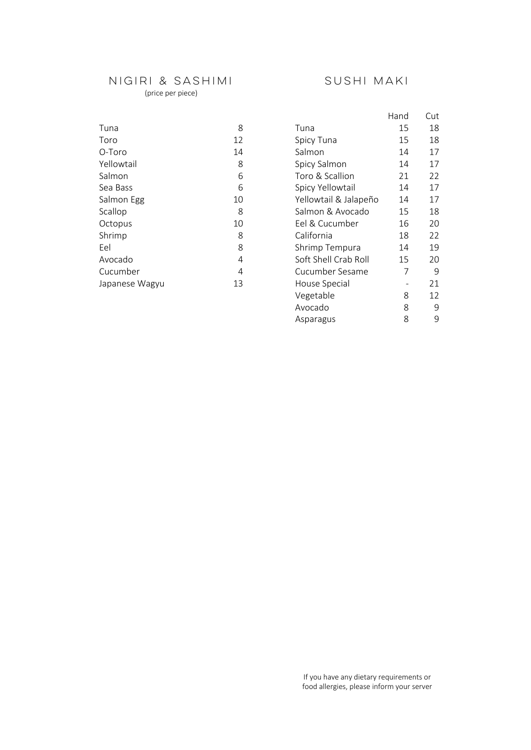# NIGIRI & SASHIMI SUSHI MAKI

#### (price per piece)

Avocado 8 9

Asparagus

|                |    |                       | Hand | Cut |
|----------------|----|-----------------------|------|-----|
| Tuna           | 8  | Tuna                  | 15   | 18  |
| Toro           | 12 | Spicy Tuna            | 15   | 18  |
| O-Toro         | 14 | Salmon                | 14   | 17  |
| Yellowtail     | 8  | Spicy Salmon          | 14   | 17  |
| Salmon         | 6  | Toro & Scallion       | 21   | 22  |
| Sea Bass       | 6  | Spicy Yellowtail      | 14   | 17  |
| Salmon Egg     | 10 | Yellowtail & Jalapeño | 14   | 17  |
| Scallop        | 8  | Salmon & Avocado      | 15   | 18  |
| Octopus        | 10 | Eel & Cucumber        | 16   | 20  |
| Shrimp         | 8  | California            | 18   | 22  |
| Eel            | 8  | Shrimp Tempura        | 14   | 19  |
| Avocado        | 4  | Soft Shell Crab Roll  | 15   | 20  |
| Cucumber       | 4  | Cucumber Sesame       | 7    | 9   |
| Japanese Wagyu | 13 | House Special         |      | 21  |
|                |    | Vegetable             | 8    | 12  |

If you have any dietary requirements or food allergies, please inform your server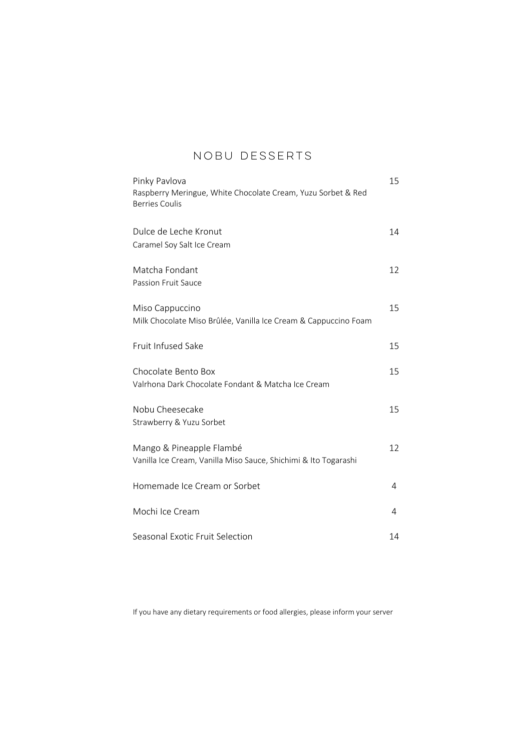# NOBU DESSERTS

| Pinky Pavlova<br>Raspberry Meringue, White Chocolate Cream, Yuzu Sorbet & Red<br><b>Berries Coulis</b> | 15 |  |
|--------------------------------------------------------------------------------------------------------|----|--|
| Dulce de Leche Kronut<br>Caramel Soy Salt Ice Cream                                                    | 14 |  |
| Matcha Fondant<br>Passion Fruit Sauce                                                                  | 12 |  |
| Miso Cappuccino<br>Milk Chocolate Miso Brûlée, Vanilla Ice Cream & Cappuccino Foam                     | 15 |  |
| Fruit Infused Sake                                                                                     | 15 |  |
| Chocolate Bento Box<br>Valrhona Dark Chocolate Fondant & Matcha Ice Cream                              | 15 |  |
| Nobu Cheesecake<br>Strawberry & Yuzu Sorbet                                                            | 15 |  |
| Mango & Pineapple Flambé<br>Vanilla Ice Cream, Vanilla Miso Sauce, Shichimi & Ito Togarashi            | 12 |  |
| Homemade Ice Cream or Sorbet                                                                           | 4  |  |
| Mochi Ice Cream                                                                                        | 4  |  |
| Seasonal Exotic Fruit Selection                                                                        | 14 |  |

If you have any dietary requirements or food allergies, please inform your server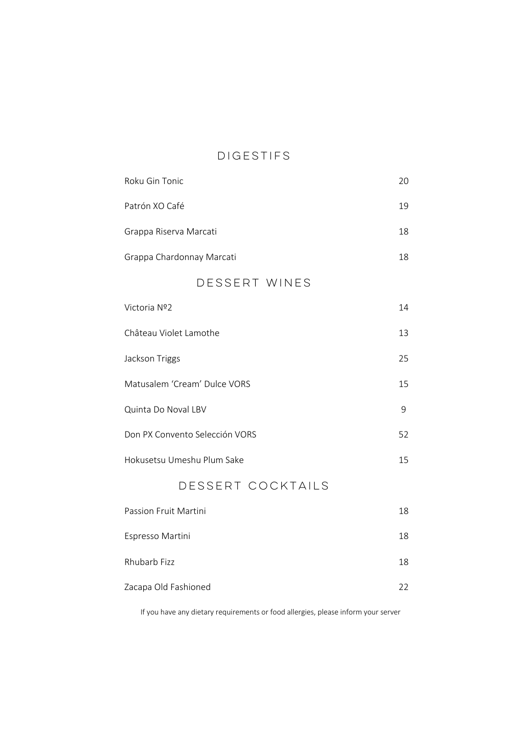# DIGESTIFS

| Roku Gin Tonic                 | 20 |
|--------------------------------|----|
| Patrón XO Café                 | 19 |
| Grappa Riserva Marcati         | 18 |
| Grappa Chardonnay Marcati      | 18 |
| DESSERT WINES                  |    |
| Victoria Nº2                   | 14 |
| Château Violet Lamothe         | 13 |
| Jackson Triggs                 | 25 |
| Matusalem 'Cream' Dulce VORS   | 15 |
| Quinta Do Noval LBV            | 9  |
| Don PX Convento Selección VORS | 52 |
| Hokusetsu Umeshu Plum Sake     | 15 |
| DESSERT COCKTAILS              |    |
| Passion Fruit Martini          | 18 |
| Espresso Martini               | 18 |
|                                |    |

Zacapa Old Fashioned 22

Rhubarb Fizz 18

If you have any dietary requirements or food allergies, please inform your server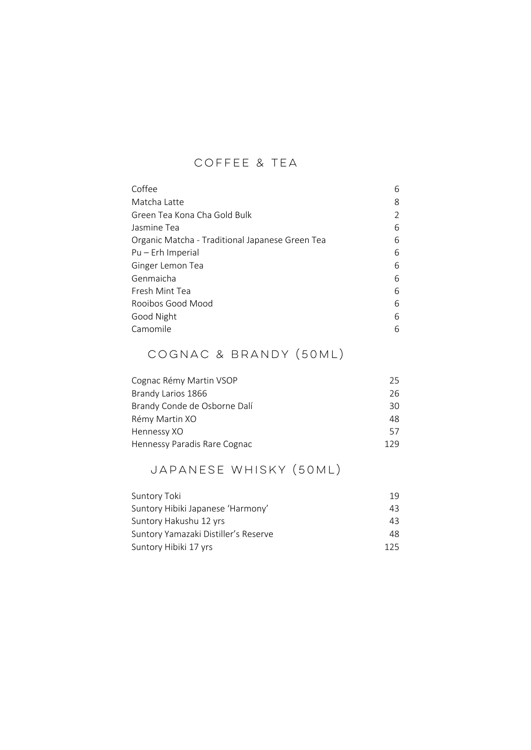# COFFEE & TEA

| Coffee                                          | 6 |
|-------------------------------------------------|---|
| Matcha Latte                                    | 8 |
| Green Tea Kona Cha Gold Bulk                    | 2 |
| Jasmine Tea                                     | 6 |
| Organic Matcha - Traditional Japanese Green Tea | 6 |
| Pu – Erh Imperial                               | 6 |
| Ginger Lemon Tea                                | 6 |
| Genmaicha                                       | 6 |
| Fresh Mint Tea                                  | 6 |
| Rooibos Good Mood                               | 6 |
| Good Night                                      | 6 |
| Camomile                                        | 6 |

# COGNAC & BRANDY (50ml)

| 25  |
|-----|
| 26  |
| 30  |
| 48  |
| 57  |
| 179 |
|     |

# JAPANESE WHISKY (50ml)

| Suntory Toki                         | 19  |
|--------------------------------------|-----|
| Suntory Hibiki Japanese 'Harmony'    | 43  |
| Suntory Hakushu 12 yrs               | 43  |
| Suntory Yamazaki Distiller's Reserve | 48  |
| Suntory Hibiki 17 yrs                | 125 |